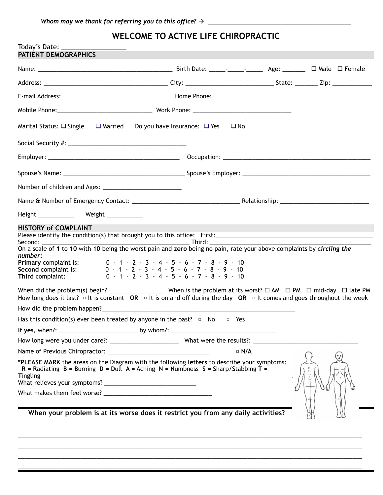## **WELCOME TO ACTIVE LIFE CHIROPRACTIC**

| Today's Date: _______<br>PATIENT DEMOGRAPHICS                                                                                                                                                                                                                                                                                                                                                                                                               |                                                                                     |  |  |
|-------------------------------------------------------------------------------------------------------------------------------------------------------------------------------------------------------------------------------------------------------------------------------------------------------------------------------------------------------------------------------------------------------------------------------------------------------------|-------------------------------------------------------------------------------------|--|--|
|                                                                                                                                                                                                                                                                                                                                                                                                                                                             |                                                                                     |  |  |
|                                                                                                                                                                                                                                                                                                                                                                                                                                                             |                                                                                     |  |  |
|                                                                                                                                                                                                                                                                                                                                                                                                                                                             |                                                                                     |  |  |
|                                                                                                                                                                                                                                                                                                                                                                                                                                                             |                                                                                     |  |  |
|                                                                                                                                                                                                                                                                                                                                                                                                                                                             |                                                                                     |  |  |
| Marital Status: $\Box$ Single<br><b>□</b> Married                                                                                                                                                                                                                                                                                                                                                                                                           | Do you have Insurance: $\Box$ Yes $\Box$ No                                         |  |  |
|                                                                                                                                                                                                                                                                                                                                                                                                                                                             |                                                                                     |  |  |
|                                                                                                                                                                                                                                                                                                                                                                                                                                                             |                                                                                     |  |  |
|                                                                                                                                                                                                                                                                                                                                                                                                                                                             |                                                                                     |  |  |
|                                                                                                                                                                                                                                                                                                                                                                                                                                                             |                                                                                     |  |  |
|                                                                                                                                                                                                                                                                                                                                                                                                                                                             |                                                                                     |  |  |
| Height ______________ Weight ____________                                                                                                                                                                                                                                                                                                                                                                                                                   |                                                                                     |  |  |
| Second:<br>On a scale of 1 to 10 with 10 being the worst pain and zero being no pain, rate your above complaints by circling the<br>number:<br>Primary complaint is: $0 - 1 - 2 - 3 - 4 - 5 - 6 - 7 - 8 - 9 - 10$<br><b>Second</b> complaint is: $0 - 1 - 2 - 3 - 4 - 5 - 6 - 7 - 8 - 9 - 10$<br>Third complaint:<br>How long does it last? $\Box$ It is constant OR $\Box$ It is on and off during the day OR $\Box$ It comes and goes throughout the week | $0 - 1 - 2 - 3 - 4 - 5 - 6 - 7 - 8 - 9 - 10$                                        |  |  |
| Has this condition(s) ever been treated by anyone in the past? $\Box$ No $\Box$ Yes                                                                                                                                                                                                                                                                                                                                                                         |                                                                                     |  |  |
|                                                                                                                                                                                                                                                                                                                                                                                                                                                             |                                                                                     |  |  |
|                                                                                                                                                                                                                                                                                                                                                                                                                                                             |                                                                                     |  |  |
|                                                                                                                                                                                                                                                                                                                                                                                                                                                             | $\Box$ N/A                                                                          |  |  |
| *PLEASE MARK the areas on the Diagram with the following letters to describe your symptoms:<br><b>Tingling</b>                                                                                                                                                                                                                                                                                                                                              | R = Radiating B = Burning D = Dull A = Aching N = Numbness S = Sharp/Stabbing $T =$ |  |  |
|                                                                                                                                                                                                                                                                                                                                                                                                                                                             | When your problem is at its worse does it restrict you from any daily activities?   |  |  |
|                                                                                                                                                                                                                                                                                                                                                                                                                                                             |                                                                                     |  |  |

 $\_$  , and the set of the set of the set of the set of the set of the set of the set of the set of the set of the set of the set of the set of the set of the set of the set of the set of the set of the set of the set of th  $\_$  , and the set of the set of the set of the set of the set of the set of the set of the set of the set of the set of the set of the set of the set of the set of the set of the set of the set of the set of the set of th